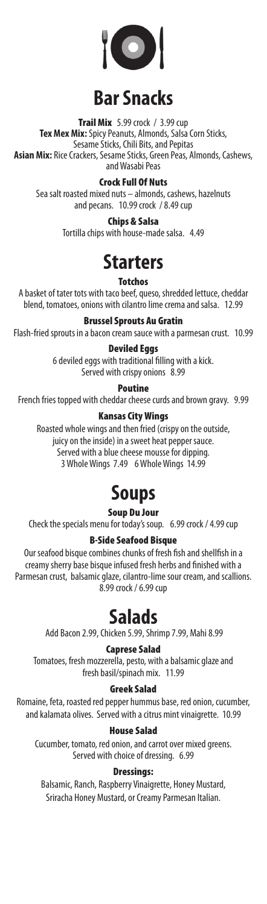

# **Bar Snacks**

**Trail Mix**  $5.99$  crock /  $3.99$  cup **Tex Mex Mix:** Spicy Peanuts, Almonds, Salsa Corn Sticks, Sesame Sticks, Chili Bits, and Pepitas **Asian Mix:** Rice Crackers, Sesame Sticks, Green Peas, Almonds, Cashews, and Wasabi Peas

### Crock Full Of Nuts

Sea salt roasted mixed nuts – almonds, cashews, hazelnuts and pecans. 10.99 crock / 8.49 cup

Chips & Salsa

Tortilla chips with house-made salsa. 4.49

### **Starters**

#### **Totchos**

A basket of tater tots with taco beef, queso, shredded lettuce, cheddar blend, tomatoes, onions with cilantro lime crema and salsa. 12.99

Brussel Sprouts Au Gratin

Flash-fried sprouts in a bacon cream sauce with a parmesan crust. 10.99

### Deviled Eggs

6 deviled eggs with traditional filling with a kick. Served with crispy onions 8.99

Poutine

French fries topped with cheddar cheese curds and brown gravy. 9.99

### Kansas City Wings

Roasted whole wings and then fried (crispy on the outside, juicy on the inside) in a sweet heat pepper sauce. Served with a blue cheese mousse for dipping. 3 Whole Wings 7.49 6 Whole Wings 14.99

## **Soups**

Soup Du Jour

Check the specials menu for today's soup. 6.99 crock / 4.99 cup

### B-Side Seafood Bisque

Our seafood bisque combines chunks of fresh fish and shellfish in a creamy sherry base bisque infused fresh herbs and finished with a Parmesan crust, balsamic glaze, cilantro-lime sour cream, and scallions. 8.99 crock / 6.99 cup

### **Salads**

Add Bacon 2.99, Chicken 5.99, Shrimp 7.99, Mahi 8.99

### Caprese Salad

Tomatoes, fresh mozzerella, pesto, with a balsamic glaze and fresh basil/spinach mix. 11.99

### Greek Salad

Romaine, feta, roasted red pepper hummus base, red onion, cucumber, and kalamata olives. Served with a citrus mint vinaigrette. 10.99

### House Salad

Cucumber, tomato, red onion, and carrot over mixed greens. Served with choice of dressing. 6.99

### Dressings:

Balsamic, Ranch, Raspberry Vinaigrette, Honey Mustard, Sriracha Honey Mustard, or Creamy Parmesan Italian.